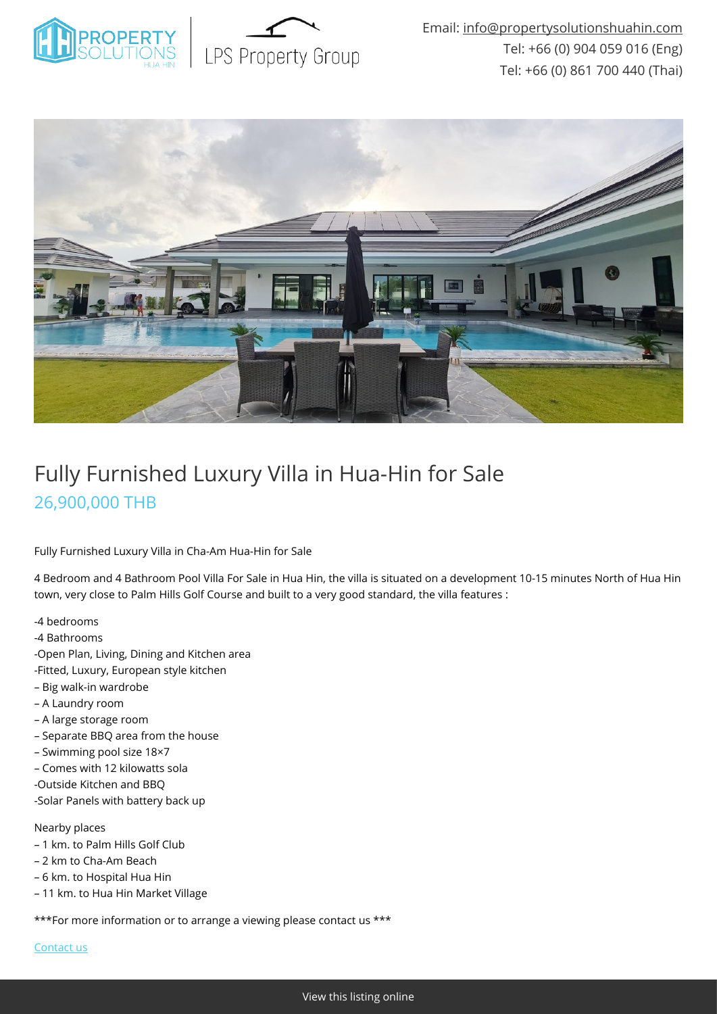



# Fully Furnished Luxury Villa in Hua-Hin for Sale 26,900,000 THB

Fully Furnished Luxury Villa in Cha-Am Hua-Hin for Sale

4 Bedroom and 4 Bathroom Pool Villa For Sale in Hua Hin, the villa is situated on a development 10-15 minutes North of Hua Hin town, very close to Palm Hills Golf Course and built to a very good standard, the villa features :

- -4 bedrooms
- -4 Bathrooms
- -Open Plan, Living, Dining and Kitchen area
- -Fitted, Luxury, European style kitchen
- Big walk-in wardrobe
- A Laundry room
- A large storage room
- Separate BBQ area from the house
- Swimming pool size 18×7
- Comes with 12 kilowatts sola
- -Outside Kitchen and BBQ
- -Solar Panels with battery back up

#### Nearby places

- 1 km. to Palm Hills Golf Club
- 2 km to Cha-Am Beach
- 6 km. to Hospital Hua Hin
- 11 km. to Hua Hin Market Village

\*\*\*For more information or to arrange a viewing please contact us \*\*\*

[Contact us](mailto:info@propertysolutionshuahin.com)